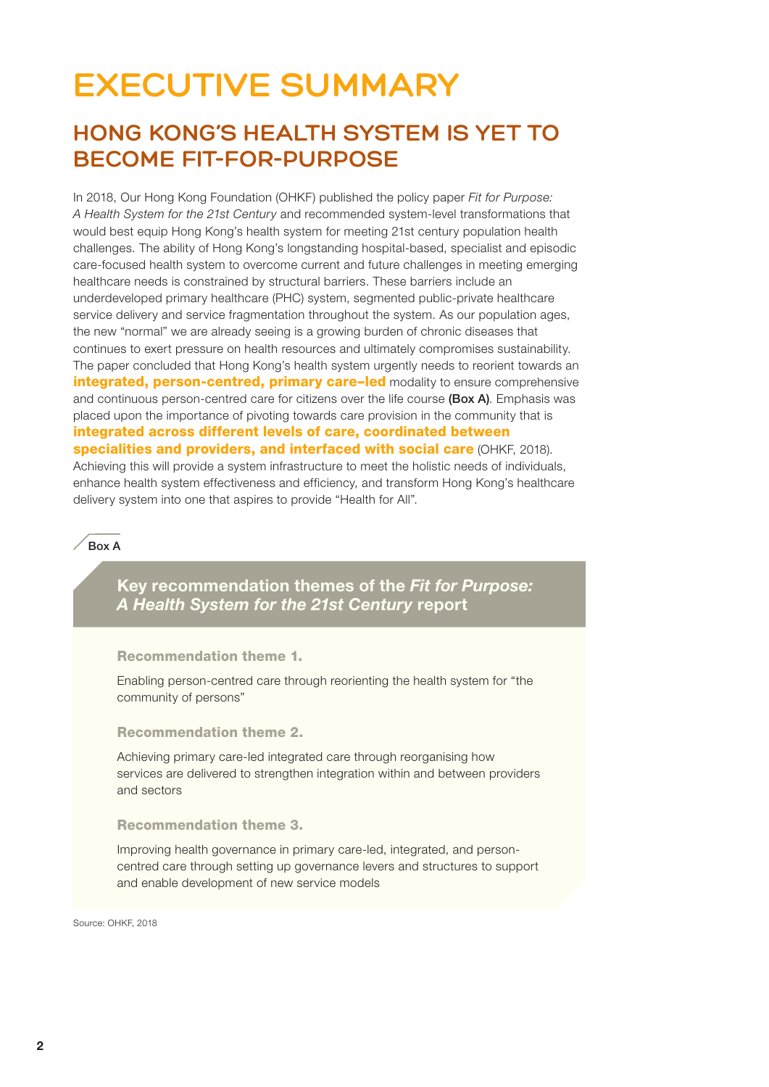# **EXECUTIVE SUMMARY**

## **HONG KONG'S HEALTH SYSTEM IS YET TO BECOME FIT-FOR-PURPOSE**

In 2018, Our Hong Kong Foundation (OHKF) published the policy paper *Fit for Purpose: A Health System for the 21st Century* and recommended system-level transformations that would best equip Hong Kong's health system for meeting 21st century population health challenges. The ability of Hong Kong's longstanding hospital-based, specialist and episodic care-focused health system to overcome current and future challenges in meeting emerging healthcare needs is constrained by structural barriers. These barriers include an underdeveloped primary healthcare (PHC) system, segmented public-private healthcare service delivery and service fragmentation throughout the system. As our population ages, the new "normal" we are already seeing is a growing burden of chronic diseases that continues to exert pressure on health resources and ultimately compromises sustainability. The paper concluded that Hong Kong's health system urgently needs to reorient towards an integrated, person-centred, primary care-led modality to ensure comprehensive and continuous person-centred care for citizens over the life course (Box A). Emphasis was placed upon the importance of pivoting towards care provision in the community that is integrated across different levels of care, coordinated between specialities and providers, and interfaced with social care (OHKF, 2018). Achieving this will provide a system infrastructure to meet the holistic needs of individuals, enhance health system effectiveness and efficiency, and transform Hong Kong's healthcare delivery system into one that aspires to provide "Health for All".

### $R_{\alpha}$  A

Key recommendation themes of the *Fit for Purpose: A Health System for the 21st Century* report

#### Recommendation theme 1.

Enabling person-centred care through reorienting the health system for "the community of persons"

#### Recommendation theme 2.

Achieving primary care-led integrated care through reorganising how services are delivered to strengthen integration within and between providers and sectors

#### Recommendation theme 3.

Improving health governance in primary care-led, integrated, and personcentred care through setting up governance levers and structures to support and enable development of new service models

Source: OHKE, 2018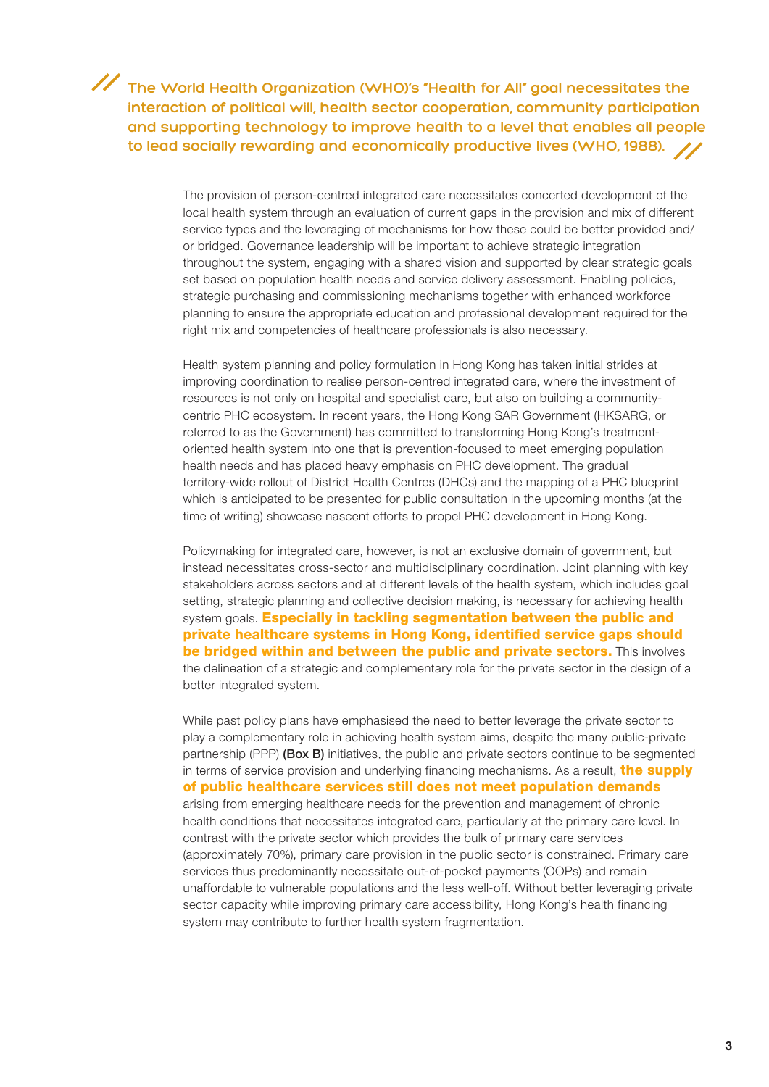## **The World Health Organization (WHO)'s "Health for All" goal necessitates the interaction of political will, health sector cooperation, community participation and supporting technology to improve health to a level that enables all people to lead socially rewarding and economically productive lives (WHO, 1988).**

The provision of person-centred integrated care necessitates concerted development of the local health system through an evaluation of current gaps in the provision and mix of different service types and the leveraging of mechanisms for how these could be better provided and/ or bridged. Governance leadership will be important to achieve strategic integration throughout the system, engaging with a shared vision and supported by clear strategic goals set based on population health needs and service delivery assessment. Enabling policies, strategic purchasing and commissioning mechanisms together with enhanced workforce planning to ensure the appropriate education and professional development required for the right mix and competencies of healthcare professionals is also necessary.

Health system planning and policy formulation in Hong Kong has taken initial strides at improving coordination to realise person-centred integrated care, where the investment of resources is not only on hospital and specialist care, but also on building a communitycentric PHC ecosystem. In recent years, the Hong Kong SAR Government (HKSARG, or referred to as the Government) has committed to transforming Hong Kong's treatmentoriented health system into one that is prevention-focused to meet emerging population health needs and has placed heavy emphasis on PHC development. The gradual territory-wide rollout of District Health Centres (DHCs) and the mapping of a PHC blueprint which is anticipated to be presented for public consultation in the upcoming months (at the time of writing) showcase nascent efforts to propel PHC development in Hong Kong.

Policymaking for integrated care, however, is not an exclusive domain of government, but instead necessitates cross-sector and multidisciplinary coordination. Joint planning with key stakeholders across sectors and at different levels of the health system, which includes goal setting, strategic planning and collective decision making, is necessary for achieving health system goals. **Especially in tackling segmentation between the public and** private healthcare systems in Hong Kong, identified service gaps should **be bridged within and between the public and private sectors.** This involves the delineation of a strategic and complementary role for the private sector in the design of a better integrated system.

While past policy plans have emphasised the need to better leverage the private sector to play a complementary role in achieving health system aims, despite the many public-private partnership (PPP) (Box B) initiatives, the public and private sectors continue to be segmented in terms of service provision and underlying financing mechanisms. As a result, **the supply** of public healthcare services still does not meet population demands arising from emerging healthcare needs for the prevention and management of chronic health conditions that necessitates integrated care, particularly at the primary care level. In contrast with the private sector which provides the bulk of primary care services (approximately 70%), primary care provision in the public sector is constrained. Primary care services thus predominantly necessitate out-of-pocket payments (OOPs) and remain unaffordable to vulnerable populations and the less well-off. Without better leveraging private sector capacity while improving primary care accessibility, Hong Kong's health financing system may contribute to further health system fragmentation.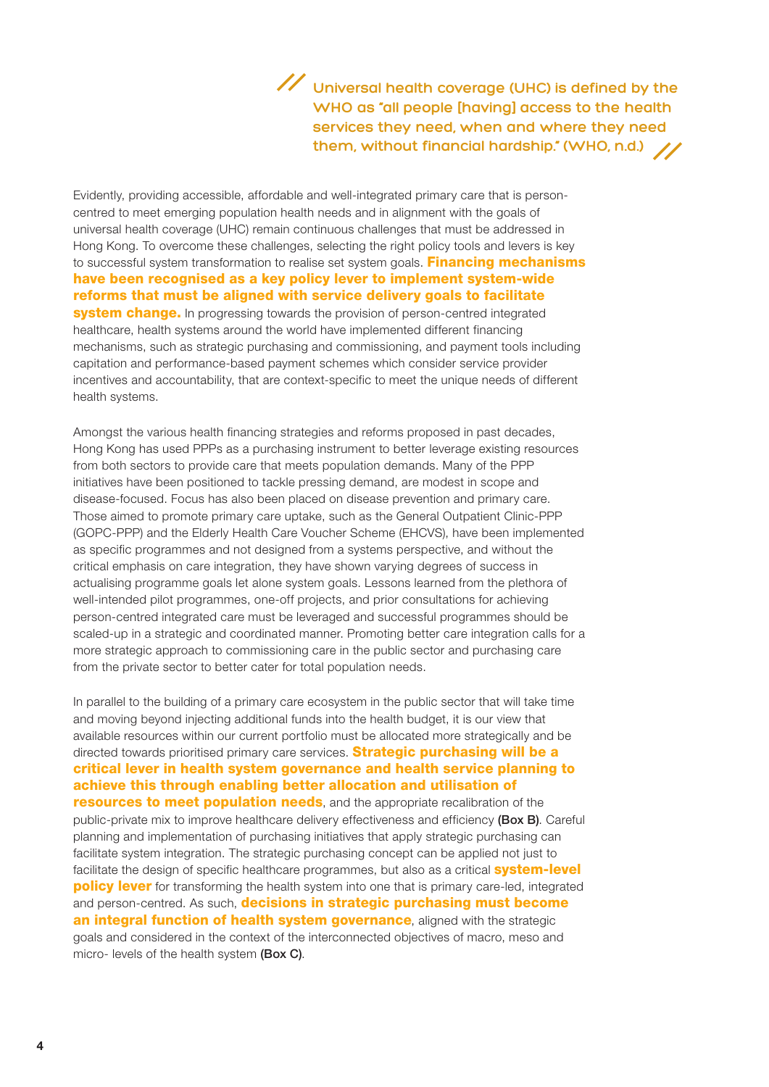**Universal health coverage (UHC) is defined by the WHO as "all people [having] access to the health services they need, when and where they need them, without financial hardship." (WHO, n.d.)**

Evidently, providing accessible, affordable and well-integrated primary care that is personcentred to meet emerging population health needs and in alignment with the goals of universal health coverage (UHC) remain continuous challenges that must be addressed in Hong Kong. To overcome these challenges, selecting the right policy tools and levers is key to successful system transformation to realise set system goals. Financing mechanisms have been recognised as a key policy lever to implement system-wide reforms that must be aligned with service delivery goals to facilitate system change. In progressing towards the provision of person-centred integrated healthcare, health systems around the world have implemented different financing mechanisms, such as strategic purchasing and commissioning, and payment tools including capitation and performance-based payment schemes which consider service provider incentives and accountability, that are context-specific to meet the unique needs of different health systems.

Amongst the various health financing strategies and reforms proposed in past decades, Hong Kong has used PPPs as a purchasing instrument to better leverage existing resources from both sectors to provide care that meets population demands. Many of the PPP initiatives have been positioned to tackle pressing demand, are modest in scope and disease-focused. Focus has also been placed on disease prevention and primary care. Those aimed to promote primary care uptake, such as the General Outpatient Clinic-PPP (GOPC-PPP) and the Elderly Health Care Voucher Scheme (EHCVS), have been implemented as specific programmes and not designed from a systems perspective, and without the critical emphasis on care integration, they have shown varying degrees of success in actualising programme goals let alone system goals. Lessons learned from the plethora of well-intended pilot programmes, one-off projects, and prior consultations for achieving person-centred integrated care must be leveraged and successful programmes should be scaled-up in a strategic and coordinated manner. Promoting better care integration calls for a more strategic approach to commissioning care in the public sector and purchasing care from the private sector to better cater for total population needs.

In parallel to the building of a primary care ecosystem in the public sector that will take time and moving beyond injecting additional funds into the health budget, it is our view that available resources within our current portfolio must be allocated more strategically and be directed towards prioritised primary care services. **Strategic purchasing will be a** critical lever in health system governance and health service planning to achieve this through enabling better allocation and utilisation of **resources to meet population needs**, and the appropriate recalibration of the public-private mix to improve healthcare delivery effectiveness and efficiency (Box B). Careful planning and implementation of purchasing initiatives that apply strategic purchasing can facilitate system integration. The strategic purchasing concept can be applied not just to facilitate the design of specific healthcare programmes, but also as a critical **system-level policy lever** for transforming the health system into one that is primary care-led, integrated and person-centred. As such, **decisions in strategic purchasing must become** an integral function of health system governance, aligned with the strategic goals and considered in the context of the interconnected objectives of macro, meso and micro- levels of the health system (Box C).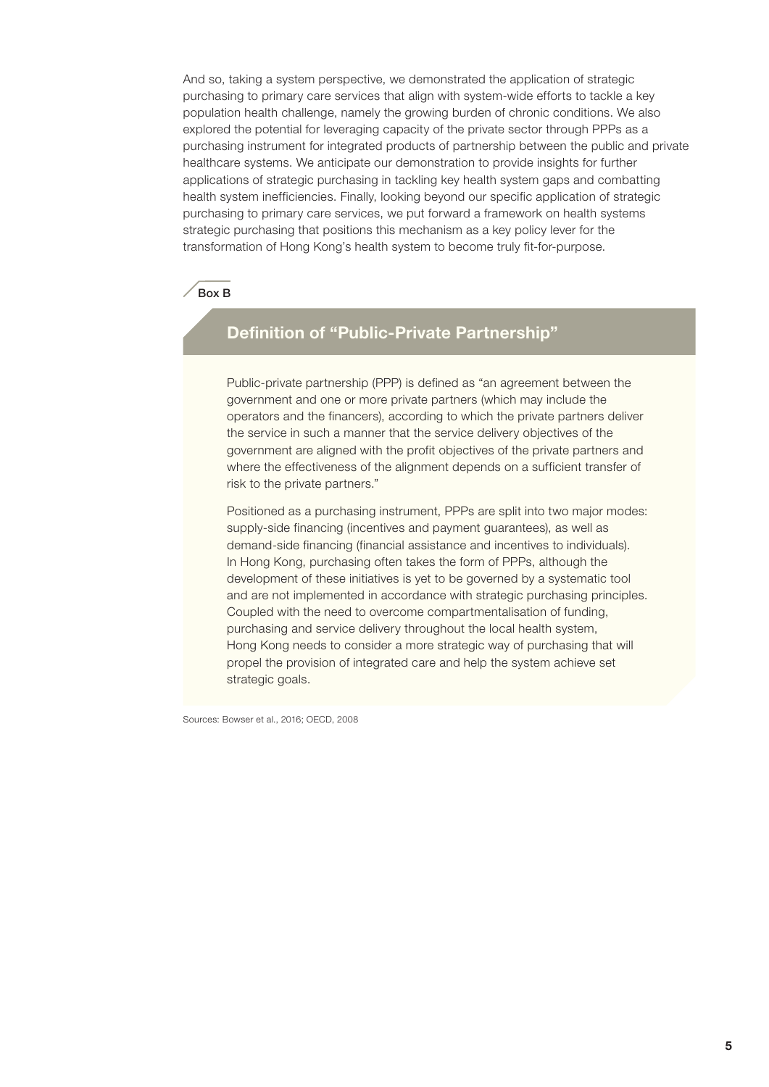And so, taking a system perspective, we demonstrated the application of strategic purchasing to primary care services that align with system-wide efforts to tackle a key population health challenge, namely the growing burden of chronic conditions. We also explored the potential for leveraging capacity of the private sector through PPPs as a purchasing instrument for integrated products of partnership between the public and private healthcare systems. We anticipate our demonstration to provide insights for further applications of strategic purchasing in tackling key health system gaps and combatting health system inefficiencies. Finally, looking beyond our specific application of strategic purchasing to primary care services, we put forward a framework on health systems strategic purchasing that positions this mechanism as a key policy lever for the transformation of Hong Kong's health system to become truly fit-for-purpose.

#### Box B

## Definition of "Public-Private Partnership"

Public-private partnership (PPP) is defined as "an agreement between the government and one or more private partners (which may include the operators and the financers), according to which the private partners deliver the service in such a manner that the service delivery objectives of the government are aligned with the profit objectives of the private partners and where the effectiveness of the alignment depends on a sufficient transfer of risk to the private partners."

Positioned as a purchasing instrument, PPPs are split into two major modes: supply-side financing (incentives and payment guarantees), as well as demand-side financing (financial assistance and incentives to individuals). In Hong Kong, purchasing often takes the form of PPPs, although the development of these initiatives is yet to be governed by a systematic tool and are not implemented in accordance with strategic purchasing principles. Coupled with the need to overcome compartmentalisation of funding, purchasing and service delivery throughout the local health system, Hong Kong needs to consider a more strategic way of purchasing that will propel the provision of integrated care and help the system achieve set strategic goals.

Sources: Bowser et al., 2016; OECD, 2008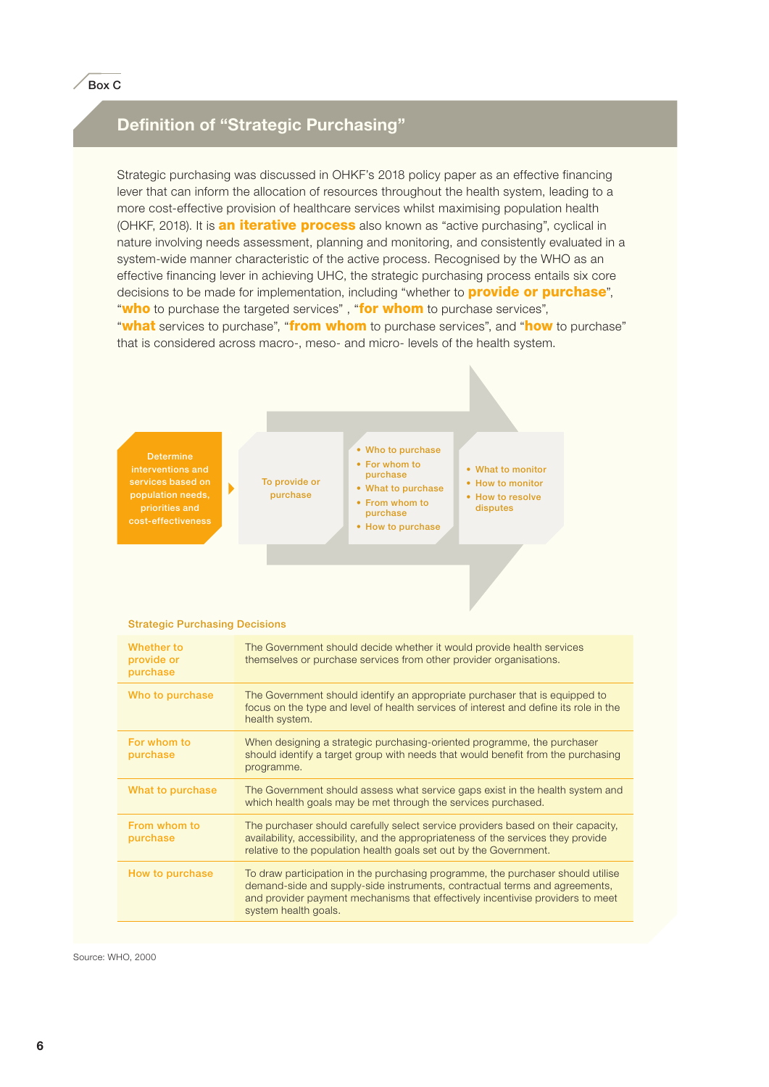## Definition of "Strategic Purchasing"

Strategic purchasing was discussed in OHKF's 2018 policy paper as an effective financing lever that can inform the allocation of resources throughout the health system, leading to a more cost-effective provision of healthcare services whilst maximising population health (OHKF, 2018). It is **an iterative process** also known as "active purchasing", cyclical in nature involving needs assessment, planning and monitoring, and consistently evaluated in a system-wide manner characteristic of the active process. Recognised by the WHO as an effective financing lever in achieving UHC, the strategic purchasing process entails six core decisions to be made for implementation, including "whether to **provide or purchase**", "who to purchase the targeted services", "for whom to purchase services", "what services to purchase", "from whom to purchase services", and "how to purchase"

that is considered across macro-, meso- and micro- levels of the health system.

interventions and services based on cost-effectiveness

To provide or purchase

#### • Who to purchase • For whom to purchase

- What to purchase
	- From whom to purchase
	- How to purchase
- What to monitor • How to monitor
- How to resolve disputes

#### Strategic Purchasing Decisions

 $\blacktriangleright$ 

| Whether to<br>provide or<br>purchase | The Government should decide whether it would provide health services<br>themselves or purchase services from other provider organisations.                                                                                                                             |
|--------------------------------------|-------------------------------------------------------------------------------------------------------------------------------------------------------------------------------------------------------------------------------------------------------------------------|
| Who to purchase                      | The Government should identify an appropriate purchaser that is equipped to<br>focus on the type and level of health services of interest and define its role in the<br>health system.                                                                                  |
| For whom to<br>purchase              | When designing a strategic purchasing-oriented programme, the purchaser<br>should identify a target group with needs that would benefit from the purchasing<br>programme.                                                                                               |
| What to purchase                     | The Government should assess what service gaps exist in the health system and<br>which health goals may be met through the services purchased.                                                                                                                          |
| From whom to<br>purchase             | The purchaser should carefully select service providers based on their capacity,<br>availability, accessibility, and the appropriateness of the services they provide<br>relative to the population health goals set out by the Government.                             |
| How to purchase                      | To draw participation in the purchasing programme, the purchaser should utilise<br>demand-side and supply-side instruments, contractual terms and agreements,<br>and provider payment mechanisms that effectively incentivise providers to meet<br>system health goals. |

Source: WHO, 2000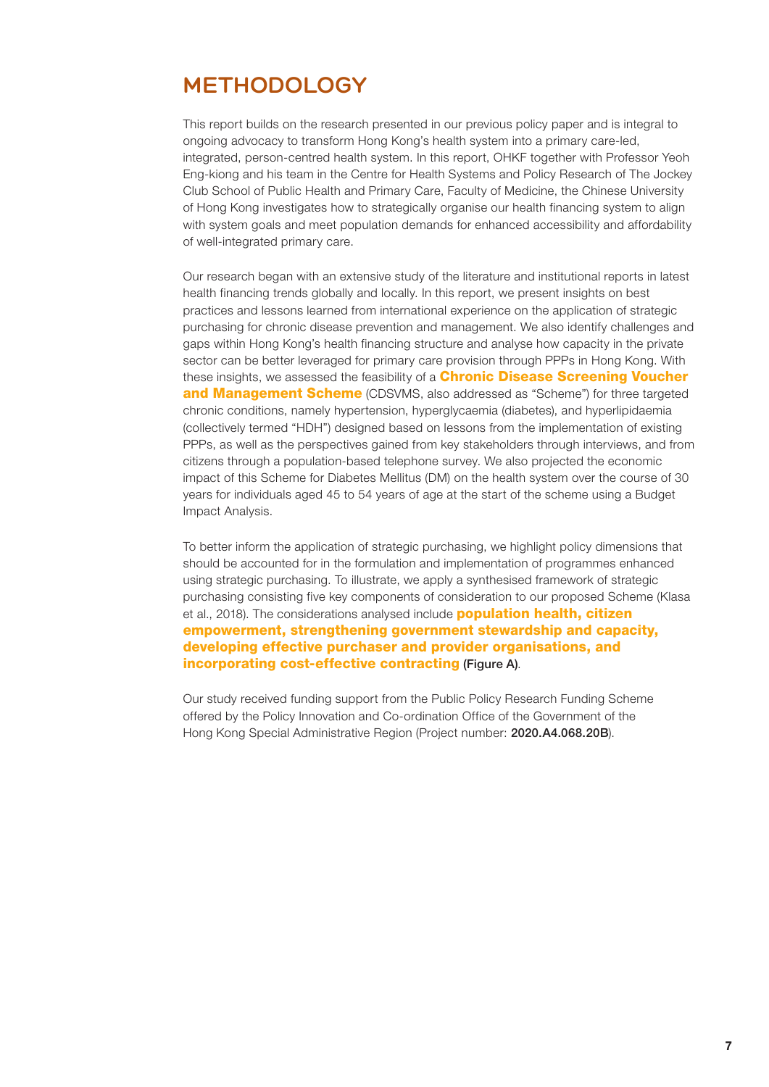## **METHODOLOGY**

This report builds on the research presented in our previous policy paper and is integral to ongoing advocacy to transform Hong Kong's health system into a primary care-led, integrated, person-centred health system. In this report, OHKF together with Professor Yeoh Eng-kiong and his team in the Centre for Health Systems and Policy Research of The Jockey Club School of Public Health and Primary Care, Faculty of Medicine, the Chinese University of Hong Kong investigates how to strategically organise our health financing system to align with system goals and meet population demands for enhanced accessibility and affordability of well-integrated primary care.

Our research began with an extensive study of the literature and institutional reports in latest health financing trends globally and locally. In this report, we present insights on best practices and lessons learned from international experience on the application of strategic purchasing for chronic disease prevention and management. We also identify challenges and gaps within Hong Kong's health financing structure and analyse how capacity in the private sector can be better leveraged for primary care provision through PPPs in Hong Kong. With these insights, we assessed the feasibility of a **Chronic Disease Screening Voucher and Management Scheme** (CDSVMS, also addressed as "Scheme") for three targeted chronic conditions, namely hypertension, hyperglycaemia (diabetes), and hyperlipidaemia (collectively termed "HDH") designed based on lessons from the implementation of existing PPPs, as well as the perspectives gained from key stakeholders through interviews, and from citizens through a population-based telephone survey. We also projected the economic impact of this Scheme for Diabetes Mellitus (DM) on the health system over the course of 30 years for individuals aged 45 to 54 years of age at the start of the scheme using a Budget Impact Analysis.

To better inform the application of strategic purchasing, we highlight policy dimensions that should be accounted for in the formulation and implementation of programmes enhanced using strategic purchasing. To illustrate, we apply a synthesised framework of strategic purchasing consisting five key components of consideration to our proposed Scheme (Klasa et al., 2018). The considerations analysed include **population health, citizen** empowerment, strengthening government stewardship and capacity, developing effective purchaser and provider organisations, and incorporating cost-effective contracting (Figure A).

Our study received funding support from the Public Policy Research Funding Scheme offered by the Policy Innovation and Co-ordination Office of the Government of the Hong Kong Special Administrative Region (Project number: 2020.A4.068.20B).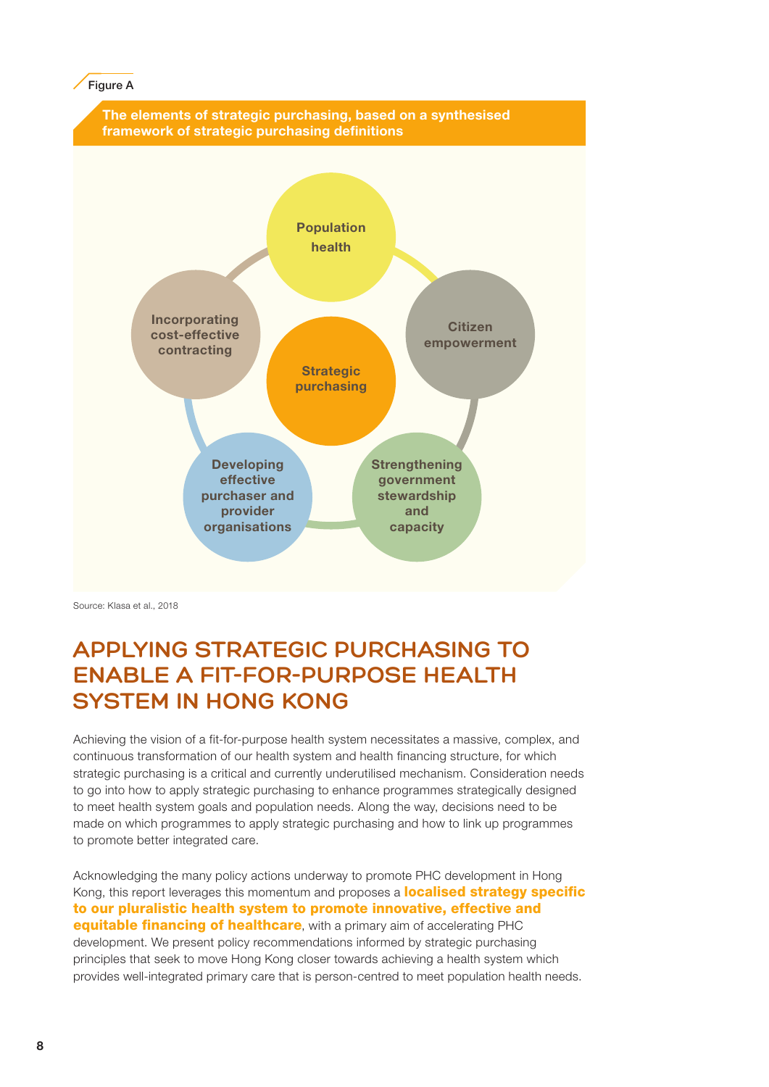#### **Figure A**



Source: Klasa et al., 2018

## **APPLYING STRATEGIC PURCHASING TO ENABLE A FIT-FOR-PURPOSE HEALTH SYSTEM IN HONG KONG**

Achieving the vision of a fit-for-purpose health system necessitates a massive, complex, and continuous transformation of our health system and health financing structure, for which strategic purchasing is a critical and currently underutilised mechanism. Consideration needs to go into how to apply strategic purchasing to enhance programmes strategically designed to meet health system goals and population needs. Along the way, decisions need to be made on which programmes to apply strategic purchasing and how to link up programmes to promote better integrated care.

Acknowledging the many policy actions underway to promote PHC development in Hong Kong, this report leverages this momentum and proposes a **localised strategy specific** to our pluralistic health system to promote innovative, effective and **equitable financing of healthcare**, with a primary aim of accelerating PHC development. We present policy recommendations informed by strategic purchasing principles that seek to move Hong Kong closer towards achieving a health system which provides well-integrated primary care that is person-centred to meet population health needs.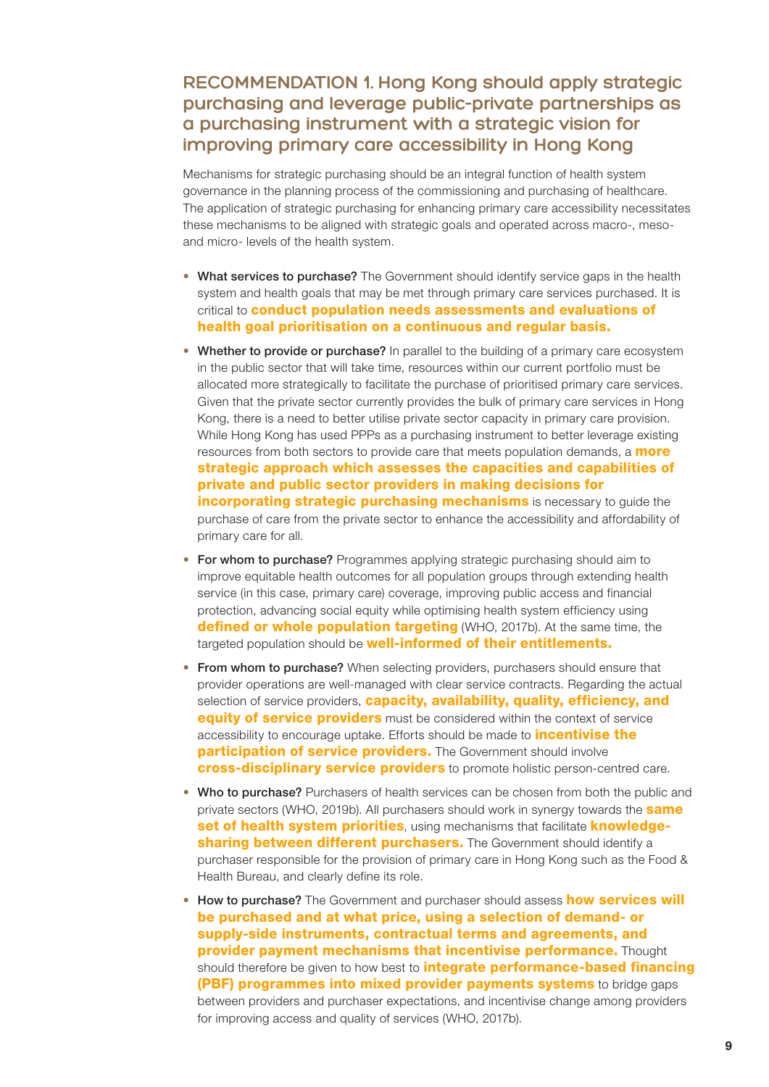## **RECOMMENDATION 1. Hong Kong should apply strategic purchasing and leverage public-private partnerships as a purchasing instrument with a strategic vision for improving primary care accessibility in Hong Kong**

Mechanisms for strategic purchasing should be an integral function of health system governance in the planning process of the commissioning and purchasing of healthcare. The application of strategic purchasing for enhancing primary care accessibility necessitates these mechanisms to be aligned with strategic goals and operated across macro-, mesoand micro- levels of the health system.

- What services to purchase? The Government should identify service gaps in the health system and health goals that may be met through primary care services purchased. It is critical to **conduct population needs assessments and evaluations of** health goal prioritisation on a continuous and regular basis.
- Whether to provide or purchase? In parallel to the building of a primary care ecosystem in the public sector that will take time, resources within our current portfolio must be allocated more strategically to facilitate the purchase of prioritised primary care services. Given that the private sector currently provides the bulk of primary care services in Hong Kong, there is a need to better utilise private sector capacity in primary care provision. While Hong Kong has used PPPs as a purchasing instrument to better leverage existing resources from both sectors to provide care that meets population demands, a **more** strategic approach which assesses the capacities and capabilities of private and public sector providers in making decisions for **incorporating strategic purchasing mechanisms** is necessary to guide the purchase of care from the private sector to enhance the accessibility and affordability of primary care for all.
- For whom to purchase? Programmes applying strategic purchasing should aim to improve equitable health outcomes for all population groups through extending health service (in this case, primary care) coverage, improving public access and financial protection, advancing social equity while optimising health system efficiency using **defined or whole population targeting** (WHO, 2017b). At the same time, the targeted population should be **well-informed of their entitlements.**
- From whom to purchase? When selecting providers, purchasers should ensure that provider operations are well-managed with clear service contracts. Regarding the actual selection of service providers, **capacity, availability, quality, efficiency, and equity of service providers** must be considered within the context of service accessibility to encourage uptake. Efforts should be made to **incentivise the** participation of service providers. The Government should involve cross-disciplinary service providers to promote holistic person-centred care.
- Who to purchase? Purchasers of health services can be chosen from both the public and private sectors (WHO, 2019b). All purchasers should work in synergy towards the **same** set of health system priorities, using mechanisms that facilitate knowledgesharing between different purchasers. The Government should identify a purchaser responsible for the provision of primary care in Hong Kong such as the Food & Health Bureau, and clearly define its role.
- How to purchase? The Government and purchaser should assess **how services will** be purchased and at what price, using a selection of demand- or supply-side instruments, contractual terms and agreements, and provider payment mechanisms that incentivise performance. Thought should therefore be given to how best to **integrate performance-based financing** (PBF) programmes into mixed provider payments systems to bridge gaps between providers and purchaser expectations, and incentivise change among providers for improving access and quality of services (WHO, 2017b).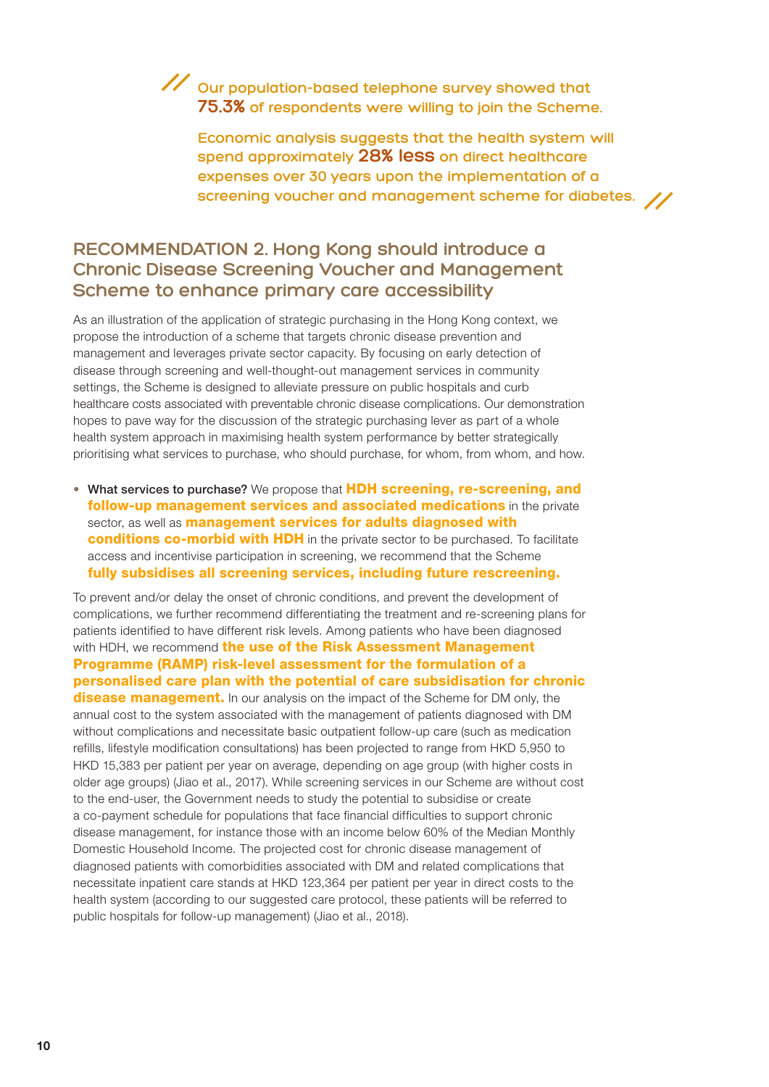## **Our population-based telephone survey showed that 75.3% of respondents were willing to join the Scheme.**

**Economic analysis suggests that the health system will spend approximately 28% less on direct healthcare expenses over 30 years upon the implementation of a screening voucher and management scheme for diabetes.**

## **RECOMMENDATION 2. Hong Kong should introduce a Chronic Disease Screening Voucher and Management Scheme to enhance primary care accessibility**

As an illustration of the application of strategic purchasing in the Hong Kong context, we propose the introduction of a scheme that targets chronic disease prevention and management and leverages private sector capacity. By focusing on early detection of disease through screening and well-thought-out management services in community settings, the Scheme is designed to alleviate pressure on public hospitals and curb healthcare costs associated with preventable chronic disease complications. Our demonstration hopes to pave way for the discussion of the strategic purchasing lever as part of a whole health system approach in maximising health system performance by better strategically prioritising what services to purchase, who should purchase, for whom, from whom, and how.

• What services to purchase? We propose that **HDH screening, re-screening, and** follow-up management services and associated medications in the private sector, as well as **management services for adults diagnosed with** conditions co-morbid with HDH in the private sector to be purchased. To facilitate access and incentivise participation in screening, we recommend that the Scheme fully subsidises all screening services, including future rescreening.

To prevent and/or delay the onset of chronic conditions, and prevent the development of complications, we further recommend differentiating the treatment and re-screening plans for patients identified to have different risk levels. Among patients who have been diagnosed with HDH, we recommend the use of the Risk Assessment Management Programme (RAMP) risk-level assessment for the formulation of a personalised care plan with the potential of care subsidisation for chronic disease management. In our analysis on the impact of the Scheme for DM only, the annual cost to the system associated with the management of patients diagnosed with DM without complications and necessitate basic outpatient follow-up care (such as medication refills, lifestyle modification consultations) has been projected to range from HKD 5,950 to HKD 15,383 per patient per year on average, depending on age group (with higher costs in older age groups) (Jiao et al., 2017). While screening services in our Scheme are without cost to the end-user, the Government needs to study the potential to subsidise or create a co-payment schedule for populations that face financial difficulties to support chronic disease management, for instance those with an income below 60% of the Median Monthly Domestic Household Income. The projected cost for chronic disease management of diagnosed patients with comorbidities associated with DM and related complications that necessitate inpatient care stands at HKD 123,364 per patient per year in direct costs to the health system (according to our suggested care protocol, these patients will be referred to public hospitals for follow-up management) (Jiao et al., 2018).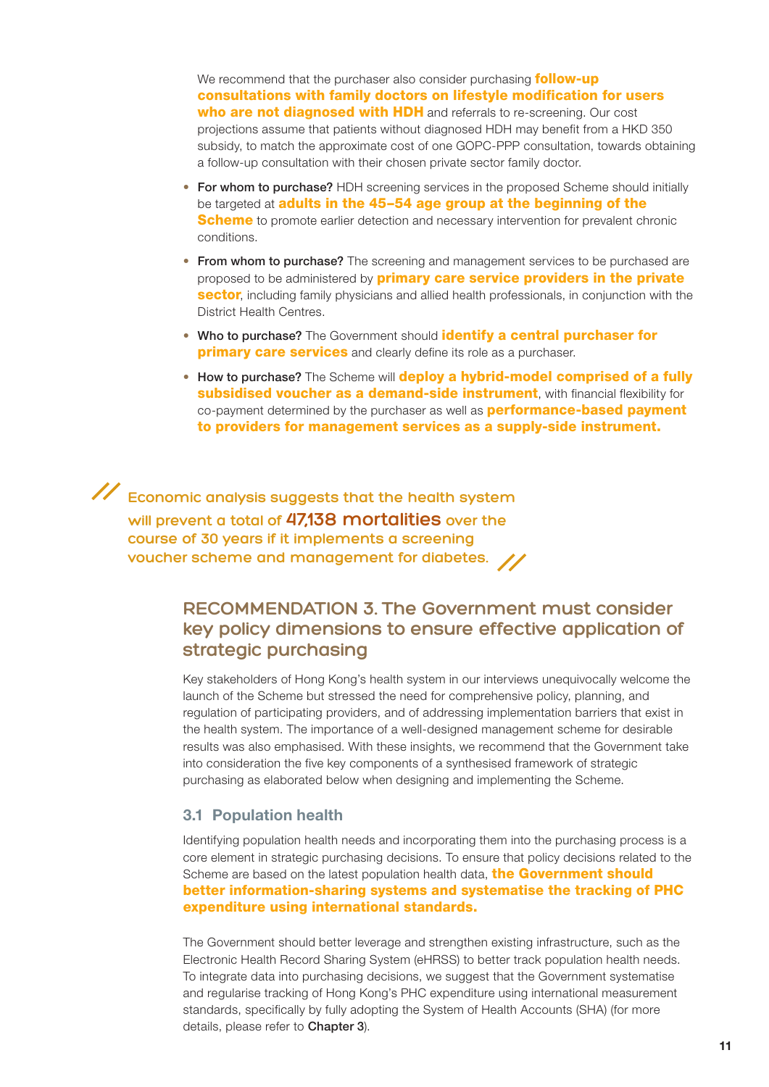We recommend that the purchaser also consider purchasing **follow-up** consultations with family doctors on lifestyle modification for users who are not diagnosed with HDH and referrals to re-screening. Our cost projections assume that patients without diagnosed HDH may benefit from a HKD 350 subsidy, to match the approximate cost of one GOPC-PPP consultation, towards obtaining a follow-up consultation with their chosen private sector family doctor.

- For whom to purchase? HDH screening services in the proposed Scheme should initially be targeted at **adults in the 45-54 age group at the beginning of the Scheme** to promote earlier detection and necessary intervention for prevalent chronic conditions.
- From whom to purchase? The screening and management services to be purchased are proposed to be administered by **primary care service providers in the private** sector, including family physicians and allied health professionals, in conjunction with the District Health Centres.
- Who to purchase? The Government should identify a central purchaser for **primary care services** and clearly define its role as a purchaser.
- How to purchase? The Scheme will **deploy a hybrid-model comprised of a fully** subsidised voucher as a demand-side instrument, with financial flexibility for co-payment determined by the purchaser as well as **performance-based payment** to providers for management services as a supply-side instrument.

**Economic analysis suggests that the health system will prevent a total of 47,138 mortalities over the course of 30 years if it implements a screening voucher scheme and management for diabetes.**

## **RECOMMENDATION 3. The Government must consider key policy dimensions to ensure effective application of strategic purchasing**

Key stakeholders of Hong Kong's health system in our interviews unequivocally welcome the launch of the Scheme but stressed the need for comprehensive policy, planning, and regulation of participating providers, and of addressing implementation barriers that exist in the health system. The importance of a well-designed management scheme for desirable results was also emphasised. With these insights, we recommend that the Government take into consideration the five key components of a synthesised framework of strategic purchasing as elaborated below when designing and implementing the Scheme.

## 3.1 Population health

Identifying population health needs and incorporating them into the purchasing process is a core element in strategic purchasing decisions. To ensure that policy decisions related to the Scheme are based on the latest population health data, **the Government should** better information-sharing systems and systematise the tracking of PHC expenditure using international standards.

The Government should better leverage and strengthen existing infrastructure, such as the Electronic Health Record Sharing System (eHRSS) to better track population health needs. To integrate data into purchasing decisions, we suggest that the Government systematise and regularise tracking of Hong Kong's PHC expenditure using international measurement standards, specifically by fully adopting the System of Health Accounts (SHA) (for more details, please refer to Chapter 3).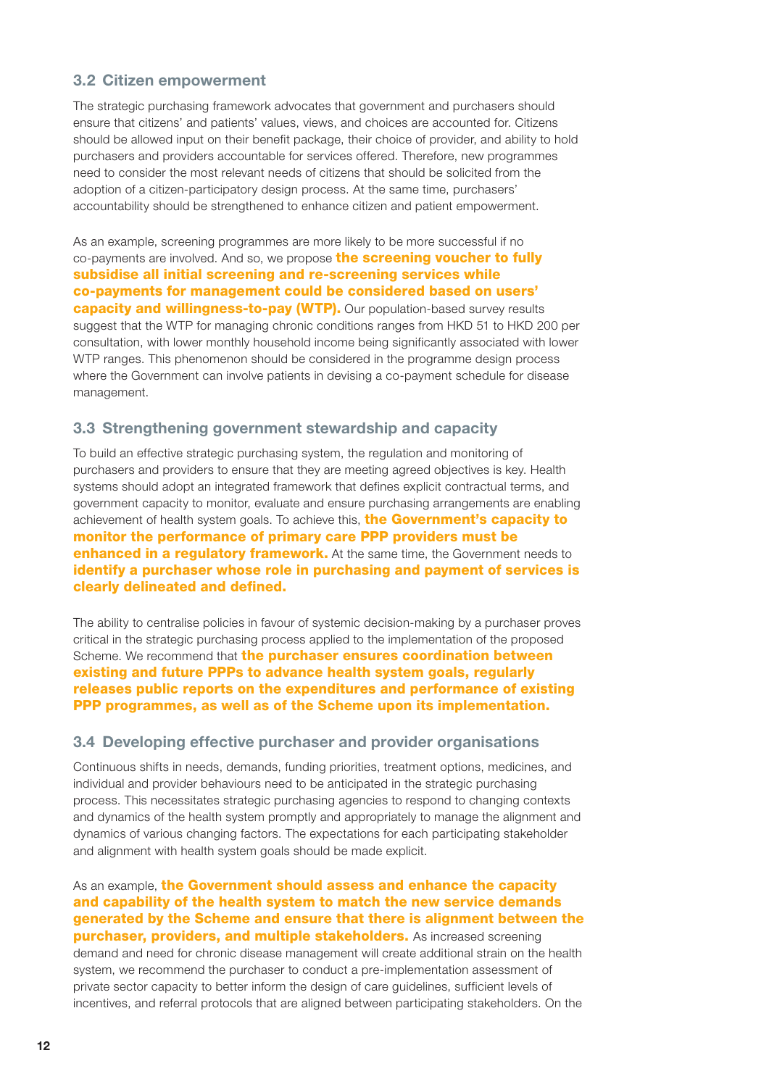## 3.2 Citizen empowerment

The strategic purchasing framework advocates that government and purchasers should ensure that citizens' and patients' values, views, and choices are accounted for. Citizens should be allowed input on their benefit package, their choice of provider, and ability to hold purchasers and providers accountable for services offered. Therefore, new programmes need to consider the most relevant needs of citizens that should be solicited from the adoption of a citizen-participatory design process. At the same time, purchasers' accountability should be strengthened to enhance citizen and patient empowerment.

As an example, screening programmes are more likely to be more successful if no co-payments are involved. And so, we propose the screening voucher to fully subsidise all initial screening and re-screening services while co-payments for management could be considered based on users' **capacity and willingness-to-pay (WTP).** Our population-based survey results suggest that the WTP for managing chronic conditions ranges from HKD 51 to HKD 200 per consultation, with lower monthly household income being significantly associated with lower WTP ranges. This phenomenon should be considered in the programme design process where the Government can involve patients in devising a co-payment schedule for disease management.

### 3.3 Strengthening government stewardship and capacity

To build an effective strategic purchasing system, the regulation and monitoring of purchasers and providers to ensure that they are meeting agreed objectives is key. Health systems should adopt an integrated framework that defines explicit contractual terms, and government capacity to monitor, evaluate and ensure purchasing arrangements are enabling achievement of health system goals. To achieve this, **the Government's capacity to** monitor the performance of primary care PPP providers must be **enhanced in a regulatory framework.** At the same time, the Government needs to identify a purchaser whose role in purchasing and payment of services is clearly delineated and defined.

The ability to centralise policies in favour of systemic decision-making by a purchaser proves critical in the strategic purchasing process applied to the implementation of the proposed Scheme. We recommend that the purchaser ensures coordination between existing and future PPPs to advance health system goals, regularly releases public reports on the expenditures and performance of existing PPP programmes, as well as of the Scheme upon its implementation.

#### 3.4 Developing effective purchaser and provider organisations

Continuous shifts in needs, demands, funding priorities, treatment options, medicines, and individual and provider behaviours need to be anticipated in the strategic purchasing process. This necessitates strategic purchasing agencies to respond to changing contexts and dynamics of the health system promptly and appropriately to manage the alignment and dynamics of various changing factors. The expectations for each participating stakeholder and alignment with health system goals should be made explicit.

As an example, the Government should assess and enhance the capacity and capability of the health system to match the new service demands generated by the Scheme and ensure that there is alignment between the purchaser, providers, and multiple stakeholders. As increased screening demand and need for chronic disease management will create additional strain on the health system, we recommend the purchaser to conduct a pre-implementation assessment of private sector capacity to better inform the design of care guidelines, sufficient levels of incentives, and referral protocols that are aligned between participating stakeholders. On the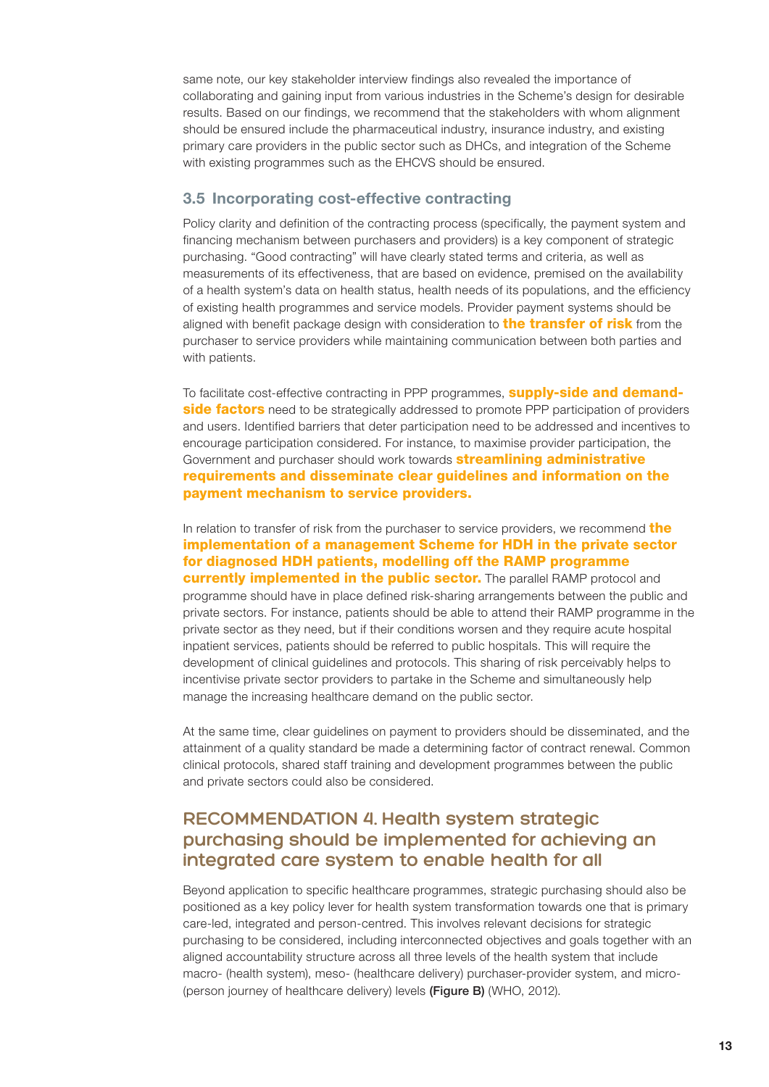same note, our key stakeholder interview findings also revealed the importance of collaborating and gaining input from various industries in the Scheme's design for desirable results. Based on our findings, we recommend that the stakeholders with whom alignment should be ensured include the pharmaceutical industry, insurance industry, and existing primary care providers in the public sector such as DHCs, and integration of the Scheme with existing programmes such as the EHCVS should be ensured.

## 3.5 Incorporating cost-effective contracting

Policy clarity and definition of the contracting process (specifically, the payment system and financing mechanism between purchasers and providers) is a key component of strategic purchasing. "Good contracting" will have clearly stated terms and criteria, as well as measurements of its effectiveness, that are based on evidence, premised on the availability of a health system's data on health status, health needs of its populations, and the efficiency of existing health programmes and service models. Provider payment systems should be aligned with benefit package design with consideration to **the transfer of risk** from the purchaser to service providers while maintaining communication between both parties and with patients.

To facilitate cost-effective contracting in PPP programmes, **supply-side and demandside factors** need to be strategically addressed to promote PPP participation of providers and users. Identified barriers that deter participation need to be addressed and incentives to encourage participation considered. For instance, to maximise provider participation, the Government and purchaser should work towards **streamlining administrative** requirements and disseminate clear guidelines and information on the payment mechanism to service providers.

In relation to transfer of risk from the purchaser to service providers, we recommend the implementation of a management Scheme for HDH in the private sector for diagnosed HDH patients, modelling off the RAMP programme **currently implemented in the public sector.** The parallel RAMP protocol and programme should have in place defined risk-sharing arrangements between the public and private sectors. For instance, patients should be able to attend their RAMP programme in the private sector as they need, but if their conditions worsen and they require acute hospital inpatient services, patients should be referred to public hospitals. This will require the development of clinical guidelines and protocols. This sharing of risk perceivably helps to incentivise private sector providers to partake in the Scheme and simultaneously help manage the increasing healthcare demand on the public sector.

At the same time, clear guidelines on payment to providers should be disseminated, and the attainment of a quality standard be made a determining factor of contract renewal. Common clinical protocols, shared staff training and development programmes between the public and private sectors could also be considered.

## **RECOMMENDATION 4. Health system strategic purchasing should be implemented for achieving an integrated care system to enable health for all**

Beyond application to specific healthcare programmes, strategic purchasing should also be positioned as a key policy lever for health system transformation towards one that is primary care-led, integrated and person-centred. This involves relevant decisions for strategic purchasing to be considered, including interconnected objectives and goals together with an aligned accountability structure across all three levels of the health system that include macro- (health system), meso- (healthcare delivery) purchaser-provider system, and micro- (person journey of healthcare delivery) levels (Figure B) (WHO, 2012).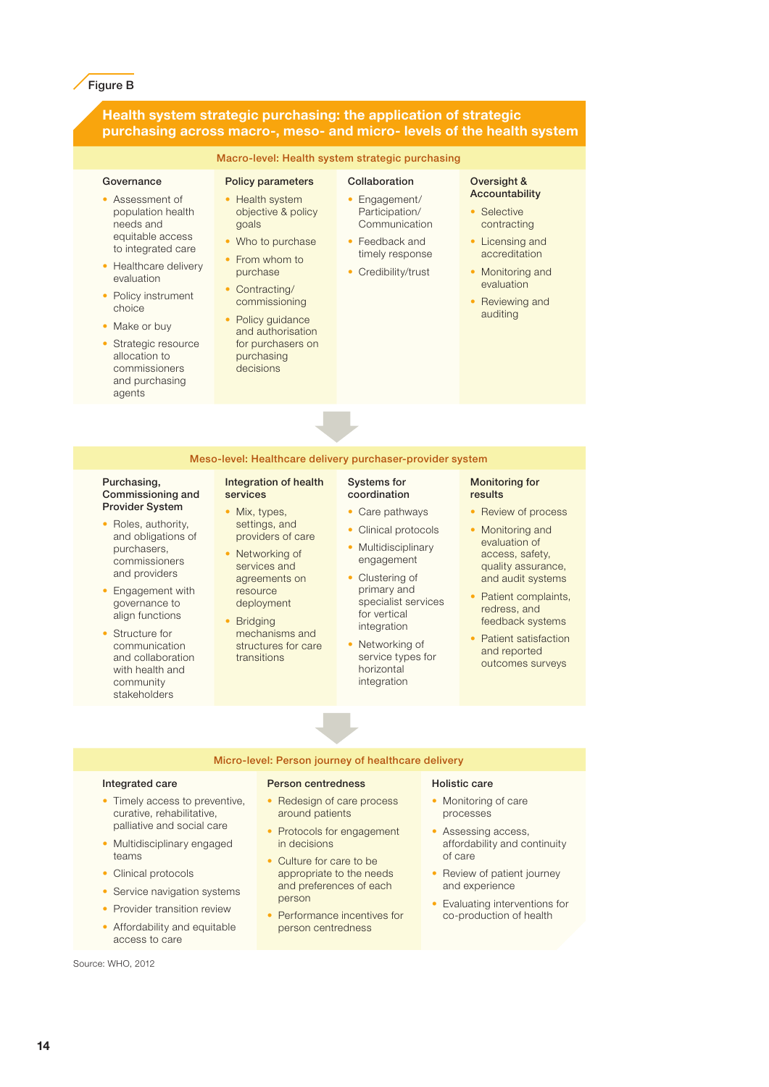#### Figure B

#### Health system strategic purchasing: the application of strategic purchasing across macro-, meso- and micro- levels of the health system

#### Macro-level: Health system strategic purchasing

#### **Governance**

- Assessment of population health needs and equitable access to integrated care
- Healthcare delivery evaluation
- Policy instrument choice
- Make or buy
- Strategic resource allocation to commissioners and purchasing agents

• Engagement/ Participation/ Communication

> Systems for coordination • Care pathways • Clinical protocols **Multidisciplinary** engagement • Clustering of primary and specialist services for vertical integration Networking of service types for horizontal integration

Collaboration

- Feedback and timely response
- Credibility/trust
	- evaluation Reviewing and auditing

Oversight & Accountability **Selective** contracting • Licensing and accreditation • Monitoring and

Meso-level: Healthcare delivery purchaser-provider system

#### Purchasing, Commissioning and Provider System

- Roles, authority, and obligations of purchasers, commissioners and providers
- Engagement with governance to align functions
- Structure for communication and collaboration with health and community stakeholders

#### Integration of health services

• Mix, types, settings, and

Policy parameters • Health system objective & policy

Who to purchase From whom to purchase • Contracting/ commissioning • Policy guidance and authorisation for purchasers on purchasing decisions

goals

- providers of care Networking of services and agreements on resource
- deployment **Bridging** mechanisms and
- structures for care transitions

#### Monitoring for results

- Review of process
- Monitoring and evaluation of access, safety, quality assurance, and audit systems
- Patient complaints, redress, and feedback systems
- Patient satisfaction and reported outcomes surveys

#### Micro-level: Person journey of healthcare delivery

#### Integrated care

- Timely access to preventive. curative, rehabilitative, palliative and social care
- Multidisciplinary engaged teams
- Clinical protocols
- Service navigation systems
- Provider transition review
- Affordability and equitable access to care

Source: WHO, 2012

#### Person centredness

- Redesign of care process around patients
- Protocols for engagement in decisions
- Culture for care to be appropriate to the needs and preferences of each person
- Performance incentives for person centredness

#### Holistic care

- Monitoring of care processes
- Assessing access, affordability and continuity of care
- Review of patient journey and experience
- Evaluating interventions for co-production of health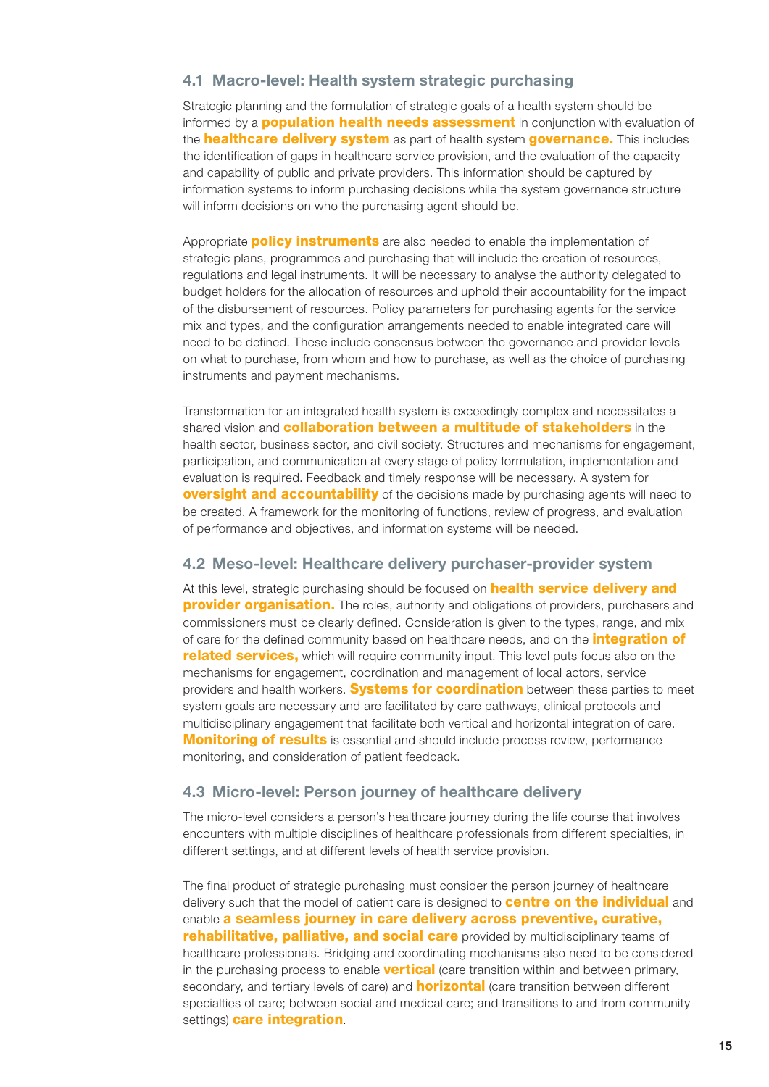### 4.1 Macro-level: Health system strategic purchasing

Strategic planning and the formulation of strategic goals of a health system should be informed by a **population health needs assessment** in conjunction with evaluation of the **healthcare delivery system** as part of health system governance. This includes the identification of gaps in healthcare service provision, and the evaluation of the capacity and capability of public and private providers. This information should be captured by information systems to inform purchasing decisions while the system governance structure will inform decisions on who the purchasing agent should be.

Appropriate **policy instruments** are also needed to enable the implementation of strategic plans, programmes and purchasing that will include the creation of resources, regulations and legal instruments. It will be necessary to analyse the authority delegated to budget holders for the allocation of resources and uphold their accountability for the impact of the disbursement of resources. Policy parameters for purchasing agents for the service mix and types, and the configuration arrangements needed to enable integrated care will need to be defined. These include consensus between the governance and provider levels on what to purchase, from whom and how to purchase, as well as the choice of purchasing instruments and payment mechanisms.

Transformation for an integrated health system is exceedingly complex and necessitates a shared vision and **collaboration between a multitude of stakeholders** in the health sector, business sector, and civil society. Structures and mechanisms for engagement, participation, and communication at every stage of policy formulation, implementation and evaluation is required. Feedback and timely response will be necessary. A system for **oversight and accountability** of the decisions made by purchasing agents will need to be created. A framework for the monitoring of functions, review of progress, and evaluation of performance and objectives, and information systems will be needed.

#### 4.2 Meso-level: Healthcare delivery purchaser-provider system

At this level, strategic purchasing should be focused on **health service delivery and provider organisation.** The roles, authority and obligations of providers, purchasers and commissioners must be clearly defined. Consideration is given to the types, range, and mix of care for the defined community based on healthcare needs, and on the *integration* of related services, which will require community input. This level puts focus also on the mechanisms for engagement, coordination and management of local actors, service providers and health workers. **Systems for coordination** between these parties to meet system goals are necessary and are facilitated by care pathways, clinical protocols and multidisciplinary engagement that facilitate both vertical and horizontal integration of care. **Monitoring of results** is essential and should include process review, performance monitoring, and consideration of patient feedback.

#### 4.3 Micro-level: Person journey of healthcare delivery

The micro-level considers a person's healthcare journey during the life course that involves encounters with multiple disciplines of healthcare professionals from different specialties, in different settings, and at different levels of health service provision.

The final product of strategic purchasing must consider the person journey of healthcare delivery such that the model of patient care is designed to **centre on the individual** and enable a seamless journey in care delivery across preventive, curative, rehabilitative, palliative, and social care provided by multidisciplinary teams of healthcare professionals. Bridging and coordinating mechanisms also need to be considered in the purchasing process to enable **vertical** (care transition within and between primary, secondary, and tertiary levels of care) and **horizontal** (care transition between different specialties of care; between social and medical care; and transitions to and from community settings) **care integration**.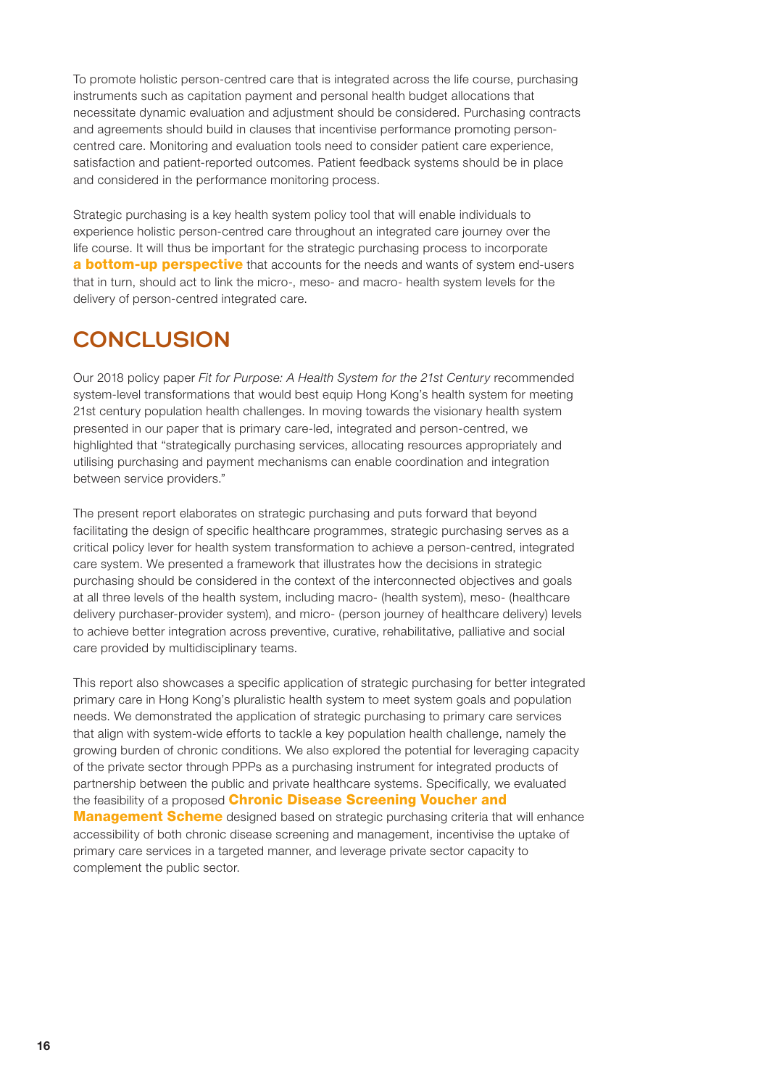To promote holistic person-centred care that is integrated across the life course, purchasing instruments such as capitation payment and personal health budget allocations that necessitate dynamic evaluation and adjustment should be considered. Purchasing contracts and agreements should build in clauses that incentivise performance promoting personcentred care. Monitoring and evaluation tools need to consider patient care experience, satisfaction and patient-reported outcomes. Patient feedback systems should be in place and considered in the performance monitoring process.

Strategic purchasing is a key health system policy tool that will enable individuals to experience holistic person-centred care throughout an integrated care journey over the life course. It will thus be important for the strategic purchasing process to incorporate **a bottom-up perspective** that accounts for the needs and wants of system end-users that in turn, should act to link the micro-, meso- and macro- health system levels for the delivery of person-centred integrated care.

## **CONCLUSION**

Our 2018 policy paper *Fit for Purpose: A Health System for the 21st Century* recommended system-level transformations that would best equip Hong Kong's health system for meeting 21st century population health challenges. In moving towards the visionary health system presented in our paper that is primary care-led, integrated and person-centred, we highlighted that "strategically purchasing services, allocating resources appropriately and utilising purchasing and payment mechanisms can enable coordination and integration between service providers."

The present report elaborates on strategic purchasing and puts forward that beyond facilitating the design of specific healthcare programmes, strategic purchasing serves as a critical policy lever for health system transformation to achieve a person-centred, integrated care system. We presented a framework that illustrates how the decisions in strategic purchasing should be considered in the context of the interconnected objectives and goals at all three levels of the health system, including macro- (health system), meso- (healthcare delivery purchaser-provider system), and micro- (person journey of healthcare delivery) levels to achieve better integration across preventive, curative, rehabilitative, palliative and social care provided by multidisciplinary teams.

This report also showcases a specific application of strategic purchasing for better integrated primary care in Hong Kong's pluralistic health system to meet system goals and population needs. We demonstrated the application of strategic purchasing to primary care services that align with system-wide efforts to tackle a key population health challenge, namely the growing burden of chronic conditions. We also explored the potential for leveraging capacity of the private sector through PPPs as a purchasing instrument for integrated products of partnership between the public and private healthcare systems. Specifically, we evaluated the feasibility of a proposed **Chronic Disease Screening Voucher and Management Scheme** designed based on strategic purchasing criteria that will enhance accessibility of both chronic disease screening and management, incentivise the uptake of primary care services in a targeted manner, and leverage private sector capacity to complement the public sector.